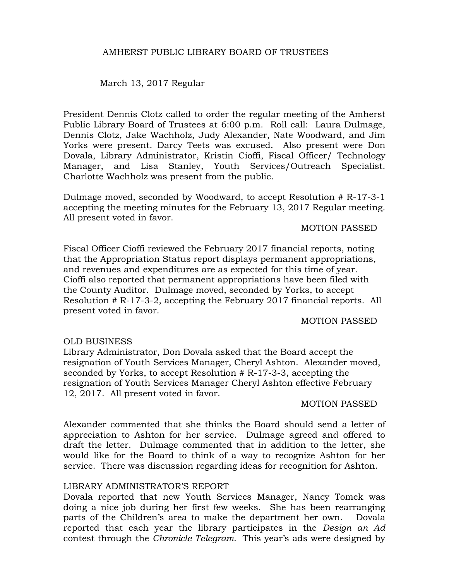# March 13, 2017 Regular

President Dennis Clotz called to order the regular meeting of the Amherst Public Library Board of Trustees at 6:00 p.m. Roll call: Laura Dulmage, Dennis Clotz, Jake Wachholz, Judy Alexander, Nate Woodward, and Jim Yorks were present. Darcy Teets was excused. Also present were Don Dovala, Library Administrator, Kristin Cioffi, Fiscal Officer/ Technology Manager, and Lisa Stanley, Youth Services/Outreach Specialist. Charlotte Wachholz was present from the public.

Dulmage moved, seconded by Woodward, to accept Resolution # R-17-3-1 accepting the meeting minutes for the February 13, 2017 Regular meeting. All present voted in favor.

MOTION PASSED

Fiscal Officer Cioffi reviewed the February 2017 financial reports, noting that the Appropriation Status report displays permanent appropriations, and revenues and expenditures are as expected for this time of year. Cioffi also reported that permanent appropriations have been filed with the County Auditor. Dulmage moved, seconded by Yorks, to accept Resolution # R-17-3-2, accepting the February 2017 financial reports. All present voted in favor.

#### MOTION PASSED

# OLD BUSINESS

Library Administrator, Don Dovala asked that the Board accept the resignation of Youth Services Manager, Cheryl Ashton. Alexander moved, seconded by Yorks, to accept Resolution # R-17-3-3, accepting the resignation of Youth Services Manager Cheryl Ashton effective February 12, 2017. All present voted in favor.

#### MOTION PASSED

Alexander commented that she thinks the Board should send a letter of appreciation to Ashton for her service. Dulmage agreed and offered to draft the letter. Dulmage commented that in addition to the letter, she would like for the Board to think of a way to recognize Ashton for her service. There was discussion regarding ideas for recognition for Ashton.

### LIBRARY ADMINISTRATOR'S REPORT

Dovala reported that new Youth Services Manager, Nancy Tomek was doing a nice job during her first few weeks. She has been rearranging parts of the Children's area to make the department her own. Dovala reported that each year the library participates in the *Design an Ad* contest through the *Chronicle Telegram.* This year's ads were designed by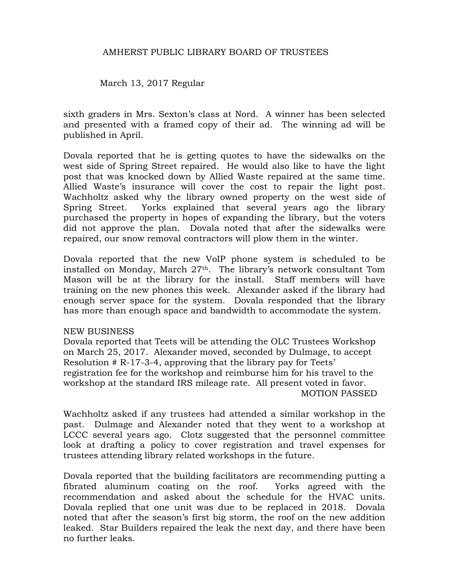March 13, 2017 Regular

sixth graders in Mrs. Sexton's class at Nord. A winner has been selected and presented with a framed copy of their ad. The winning ad will be published in April.

Dovala reported that he is getting quotes to have the sidewalks on the west side of Spring Street repaired. He would also like to have the light post that was knocked down by Allied Waste repaired at the same time. Allied Waste's insurance will cover the cost to repair the light post. Wachholtz asked why the library owned property on the west side of Spring Street. Yorks explained that several years ago the library purchased the property in hopes of expanding the library, but the voters did not approve the plan. Dovala noted that after the sidewalks were repaired, our snow removal contractors will plow them in the winter.

Dovala reported that the new VoIP phone system is scheduled to be installed on Monday, March 27th. The library's network consultant Tom Mason will be at the library for the install. Staff members will have training on the new phones this week. Alexander asked if the library had enough server space for the system. Dovala responded that the library has more than enough space and bandwidth to accommodate the system.

### NEW BUSINESS

Dovala reported that Teets will be attending the OLC Trustees Workshop on March 25, 2017. Alexander moved, seconded by Dulmage, to accept Resolution # R-17-3-4, approving that the library pay for Teets' registration fee for the workshop and reimburse him for his travel to the workshop at the standard IRS mileage rate. All present voted in favor. MOTION PASSED

Wachholtz asked if any trustees had attended a similar workshop in the past. Dulmage and Alexander noted that they went to a workshop at LCCC several years ago. Clotz suggested that the personnel committee look at drafting a policy to cover registration and travel expenses for trustees attending library related workshops in the future.

Dovala reported that the building facilitators are recommending putting a fibrated aluminum coating on the roof. Yorks agreed with the recommendation and asked about the schedule for the HVAC units. Dovala replied that one unit was due to be replaced in 2018. Dovala noted that after the season's first big storm, the roof on the new addition leaked. Star Builders repaired the leak the next day, and there have been no further leaks.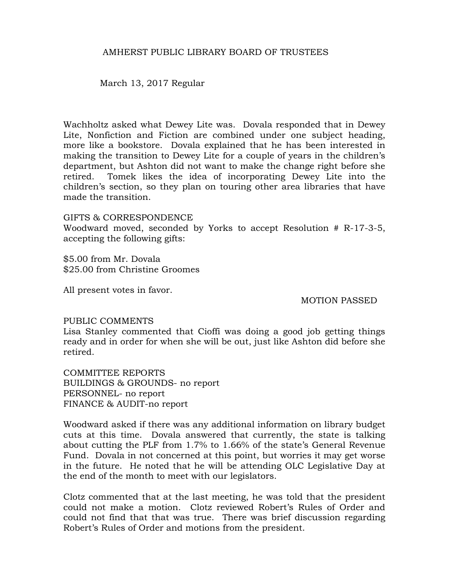March 13, 2017 Regular

Wachholtz asked what Dewey Lite was. Dovala responded that in Dewey Lite, Nonfiction and Fiction are combined under one subject heading, more like a bookstore. Dovala explained that he has been interested in making the transition to Dewey Lite for a couple of years in the children's department, but Ashton did not want to make the change right before she retired. Tomek likes the idea of incorporating Dewey Lite into the children's section, so they plan on touring other area libraries that have made the transition.

GIFTS & CORRESPONDENCE Woodward moved, seconded by Yorks to accept Resolution # R-17-3-5, accepting the following gifts:

\$5.00 from Mr. Dovala \$25.00 from Christine Groomes

All present votes in favor.

MOTION PASSED

### PUBLIC COMMENTS

Lisa Stanley commented that Cioffi was doing a good job getting things ready and in order for when she will be out, just like Ashton did before she retired.

COMMITTEE REPORTS BUILDINGS & GROUNDS- no report PERSONNEL- no report FINANCE & AUDIT-no report

Woodward asked if there was any additional information on library budget cuts at this time. Dovala answered that currently, the state is talking about cutting the PLF from 1.7% to 1.66% of the state's General Revenue Fund. Dovala in not concerned at this point, but worries it may get worse in the future. He noted that he will be attending OLC Legislative Day at the end of the month to meet with our legislators.

Clotz commented that at the last meeting, he was told that the president could not make a motion. Clotz reviewed Robert's Rules of Order and could not find that that was true. There was brief discussion regarding Robert's Rules of Order and motions from the president.